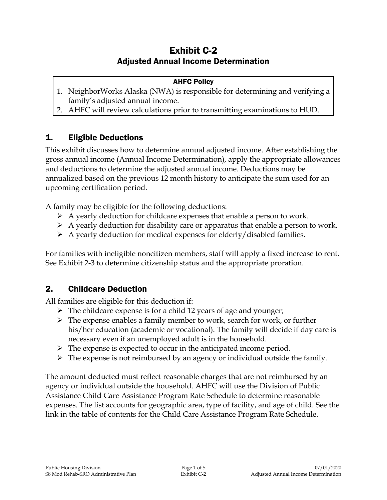# Exhibit C-2 Adjusted Annual Income Determination

#### AHFC Policy

- 1. NeighborWorks Alaska (NWA) is responsible for determining and verifying a family's adjusted annual income.
- 2. AHFC will review calculations prior to transmitting examinations to HUD.

### 1. Eligible Deductions

This exhibit discusses how to determine annual adjusted income. After establishing the gross annual income (Annual Income Determination), apply the appropriate allowances and deductions to determine the adjusted annual income. Deductions may be annualized based on the previous 12 month history to anticipate the sum used for an upcoming certification period.

A family may be eligible for the following deductions:

- $\triangleright$  A yearly deduction for childcare expenses that enable a person to work.
- $\triangleright$  A yearly deduction for disability care or apparatus that enable a person to work.
- $\triangleright$  A yearly deduction for medical expenses for elderly/disabled families.

For families with ineligible noncitizen members, staff will apply a fixed increase to rent. See Exhibit 2-3 to determine citizenship status and the appropriate proration.

### 2. Childcare Deduction

All families are eligible for this deduction if:

- $\triangleright$  The childcare expense is for a child 12 years of age and younger;
- $\triangleright$  The expense enables a family member to work, search for work, or further his/her education (academic or vocational). The family will decide if day care is necessary even if an unemployed adult is in the household.
- $\triangleright$  The expense is expected to occur in the anticipated income period.
- $\triangleright$  The expense is not reimbursed by an agency or individual outside the family.

The amount deducted must reflect reasonable charges that are not reimbursed by an agency or individual outside the household. AHFC will use the Division of Public Assistance Child Care Assistance Program Rate Schedule to determine reasonable expenses. The list accounts for geographic area, type of facility, and age of child. See the link in the table of contents for the Child Care Assistance Program Rate Schedule.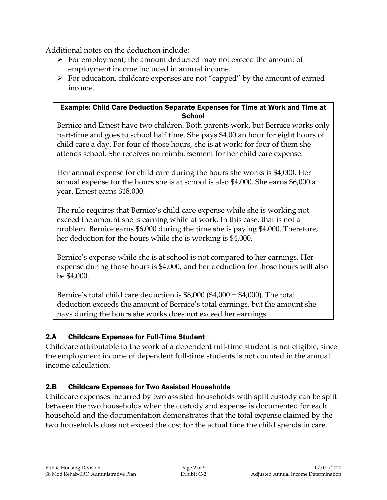Additional notes on the deduction include:

- $\triangleright$  For employment, the amount deducted may not exceed the amount of employment income included in annual income.
- $\triangleright$  For education, childcare expenses are not "capped" by the amount of earned income.

#### Example: Child Care Deduction Separate Expenses for Time at Work and Time at **School**

Bernice and Ernest have two children. Both parents work, but Bernice works only part-time and goes to school half time. She pays \$4.00 an hour for eight hours of child care a day. For four of those hours, she is at work; for four of them she attends school. She receives no reimbursement for her child care expense.

Her annual expense for child care during the hours she works is \$4,000. Her annual expense for the hours she is at school is also \$4,000. She earns \$6,000 a year. Ernest earns \$18,000.

The rule requires that Bernice's child care expense while she is working not exceed the amount she is earning while at work. In this case, that is not a problem. Bernice earns \$6,000 during the time she is paying \$4,000. Therefore, her deduction for the hours while she is working is \$4,000.

Bernice's expense while she is at school is not compared to her earnings. Her expense during those hours is \$4,000, and her deduction for those hours will also be \$4,000.

Bernice's total child care deduction is \$8,000 (\$4,000 + \$4,000). The total deduction exceeds the amount of Bernice's total earnings, but the amount she pays during the hours she works does not exceed her earnings.

### 2.A Childcare Expenses for Full-Time Student

Childcare attributable to the work of a dependent full-time student is not eligible, since the employment income of dependent full-time students is not counted in the annual income calculation.

### 2.B Childcare Expenses for Two Assisted Households

Childcare expenses incurred by two assisted households with split custody can be split between the two households when the custody and expense is documented for each household and the documentation demonstrates that the total expense claimed by the two households does not exceed the cost for the actual time the child spends in care.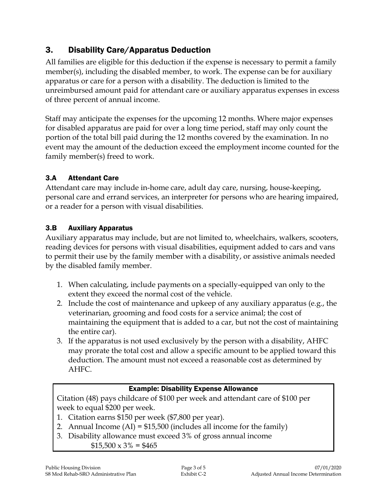## 3. Disability Care/Apparatus Deduction

All families are eligible for this deduction if the expense is necessary to permit a family member(s), including the disabled member, to work. The expense can be for auxiliary apparatus or care for a person with a disability. The deduction is limited to the unreimbursed amount paid for attendant care or auxiliary apparatus expenses in excess of three percent of annual income.

Staff may anticipate the expenses for the upcoming 12 months. Where major expenses for disabled apparatus are paid for over a long time period, staff may only count the portion of the total bill paid during the 12 months covered by the examination. In no event may the amount of the deduction exceed the employment income counted for the family member(s) freed to work.

### 3.A Attendant Care

Attendant care may include in-home care, adult day care, nursing, house-keeping, personal care and errand services, an interpreter for persons who are hearing impaired, or a reader for a person with visual disabilities.

### 3.B Auxiliary Apparatus

Auxiliary apparatus may include, but are not limited to, wheelchairs, walkers, scooters, reading devices for persons with visual disabilities, equipment added to cars and vans to permit their use by the family member with a disability, or assistive animals needed by the disabled family member.

- 1. When calculating, include payments on a specially-equipped van only to the extent they exceed the normal cost of the vehicle.
- 2. Include the cost of maintenance and upkeep of any auxiliary apparatus (e.g., the veterinarian, grooming and food costs for a service animal; the cost of maintaining the equipment that is added to a car, but not the cost of maintaining the entire car).
- 3. If the apparatus is not used exclusively by the person with a disability, AHFC may prorate the total cost and allow a specific amount to be applied toward this deduction. The amount must not exceed a reasonable cost as determined by AHFC.

### Example: Disability Expense Allowance

Citation (48) pays childcare of \$100 per week and attendant care of \$100 per week to equal \$200 per week.

- 1. Citation earns \$150 per week (\$7,800 per year).
- 2. Annual Income  $(AI) = $15,500$  (includes all income for the family)
- 3. Disability allowance must exceed 3% of gross annual income  $$15,500 \times 3\% = $465$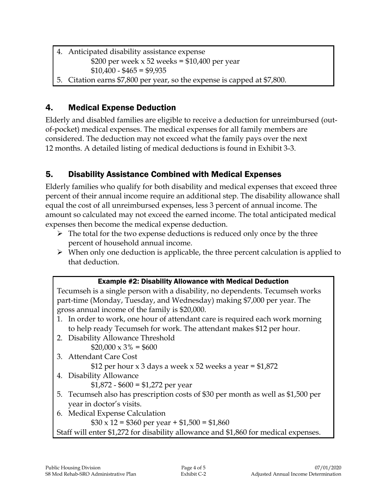- 4. Anticipated disability assistance expense \$200 per week  $x$  52 weeks = \$10,400 per year  $$10,400 - $465 = $9,935$
- 5. Citation earns \$7,800 per year, so the expense is capped at \$7,800.

# 4. Medical Expense Deduction

Elderly and disabled families are eligible to receive a deduction for unreimbursed (outof-pocket) medical expenses. The medical expenses for all family members are considered. The deduction may not exceed what the family pays over the next 12 months. A detailed listing of medical deductions is found in Exhibit 3-3.

# 5. Disability Assistance Combined with Medical Expenses

Elderly families who qualify for both disability and medical expenses that exceed three percent of their annual income require an additional step. The disability allowance shall equal the cost of all unreimbursed expenses, less 3 percent of annual income. The amount so calculated may not exceed the earned income. The total anticipated medical expenses then become the medical expense deduction.

- $\triangleright$  The total for the two expense deductions is reduced only once by the three percent of household annual income.
- $\triangleright$  When only one deduction is applicable, the three percent calculation is applied to that deduction.

**Example #2: Disability Allowane with Medical Deduction**

\nTecumseh is a single person with a disability, no dependents. Tecumseh works part-time (Monday, Tuesday, and Wednesday) making \$7,000 per year. The gross annual income of the family is \$20,000.

\n1. In order to work, one hour of attendant care is required each work morning to help ready Tecumseh for work. The attendant makes \$12 per hour.

\n2. Disability Allowane Threshold \$20,000 × 3% = \$600

\n3. Attendant Care Cost \$12 per hour × 3 days a week × 52 weeks a year = \$1,872

\n4. Disability Allowane 
$$
$1,872 - $600 = $1,272
$$
 per year

\n5. Tecumseh also has prescription costs of \$30 per month as well as \$1,500 per year in doctor's visits.

\n6. Medical Expression  $$30 \times 12 = $360$  per year + \$1,500 = \$1,860

\nStaff will enter \$1,272 for disability allowance and \$1,860 for medical expenses.